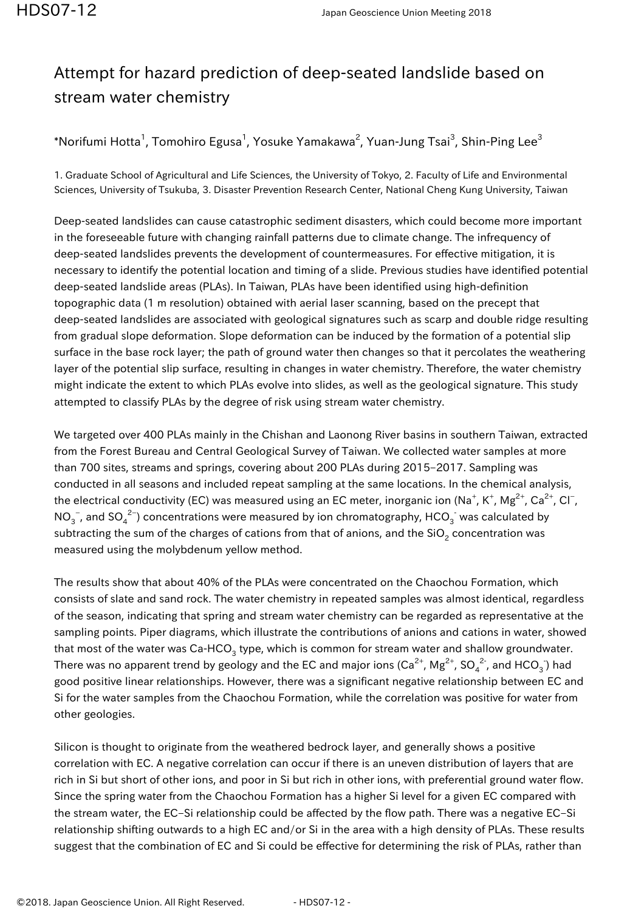## Attempt for hazard prediction of deep-seated landslide based on stream water chemistry

\*Norifumi Hotta $^1$ , Tomohiro Egusa $^1$ , Yosuke Yamakawa $^2$ , Yuan-Jung Tsai $^3$ , Shin-Ping Lee $^3$ 

1. Graduate School of Agricultural and Life Sciences, the University of Tokyo, 2. Faculty of Life and Environmental Sciences, University of Tsukuba, 3. Disaster Prevention Research Center, National Cheng Kung University, Taiwan

Deep-seated landslides can cause catastrophic sediment disasters, which could become more important in the foreseeable future with changing rainfall patterns due to climate change. The infrequency of deep-seated landslides prevents the development of countermeasures. For effective mitigation, it is necessary to identify the potential location and timing of a slide. Previous studies have identified potential deep-seated landslide areas (PLAs). In Taiwan, PLAs have been identified using high-definition topographic data (1 m resolution) obtained with aerial laser scanning, based on the precept that deep-seated landslides are associated with geological signatures such as scarp and double ridge resulting from gradual slope deformation. Slope deformation can be induced by the formation of a potential slip surface in the base rock layer; the path of ground water then changes so that it percolates the weathering layer of the potential slip surface, resulting in changes in water chemistry. Therefore, the water chemistry might indicate the extent to which PLAs evolve into slides, as well as the geological signature. This study attempted to classify PLAs by the degree of risk using stream water chemistry.

We targeted over 400 PLAs mainly in the Chishan and Laonong River basins in southern Taiwan, extracted from the Forest Bureau and Central Geological Survey of Taiwan. We collected water samples at more than 700 sites, streams and springs, covering about 200 PLAs during 2015–2017. Sampling was conducted in all seasons and included repeat sampling at the same locations. In the chemical analysis, the electrical conductivity (EC) was measured using an EC meter, inorganic ion (Na $^+$ , K $^+$ , Mg $^{2+}$ , Ca $^{2+}$ , Cl $^-$ , NO $_3^-$ , and SO $_4^{\ 2-})$  concentrations were measured by ion chromatography, HCO $_3^-$  was calculated by subtracting the sum of the charges of cations from that of anions, and the SiO $_2$  concentration was measured using the molybdenum yellow method.

The results show that about 40% of the PLAs were concentrated on the Chaochou Formation, which consists of slate and sand rock. The water chemistry in repeated samples was almost identical, regardless of the season, indicating that spring and stream water chemistry can be regarded as representative at the sampling points. Piper diagrams, which illustrate the contributions of anions and cations in water, showed that most of the water was Ca-HCO<sub>3</sub> type, which is common for stream water and shallow groundwater. There was no apparent trend by geology and the EC and major ions (Ca $^{2+}$ , Mg $^{2+}$ , SO $_4^{\;2+}$ , and HCO $_3^{\;}$ ) had good positive linear relationships. However, there was a significant negative relationship between EC and Si for the water samples from the Chaochou Formation, while the correlation was positive for water from other geologies.

Silicon is thought to originate from the weathered bedrock layer, and generally shows a positive correlation with EC. A negative correlation can occur if there is an uneven distribution of layers that are rich in Si but short of other ions, and poor in Si but rich in other ions, with preferential ground water flow. Since the spring water from the Chaochou Formation has a higher Si level for a given EC compared with the stream water, the EC–Si relationship could be affected by the flow path. There was a negative EC–Si relationship shifting outwards to a high EC and/or Si in the area with a high density of PLAs. These results suggest that the combination of EC and Si could be effective for determining the risk of PLAs, rather than